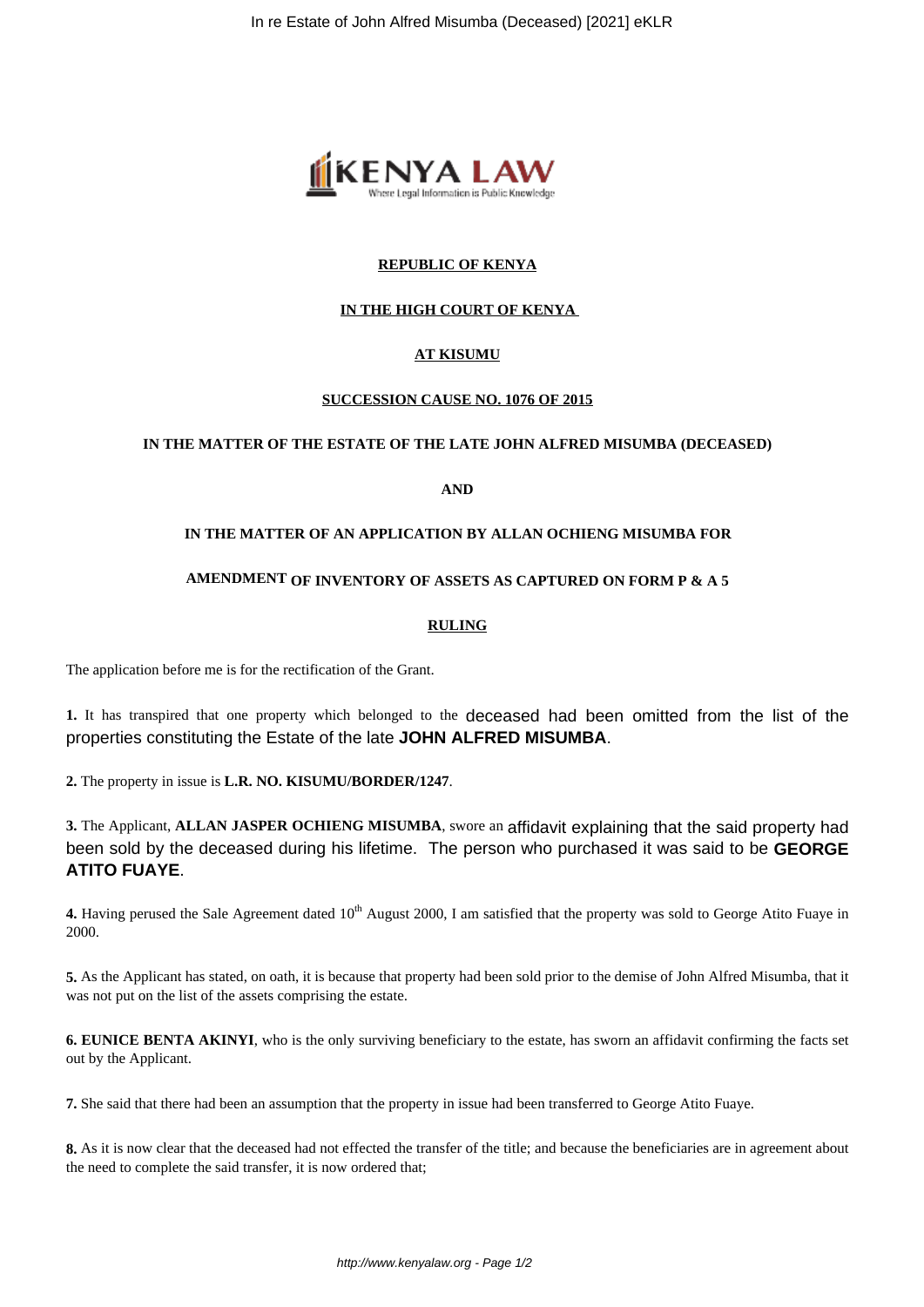

# **REPUBLIC OF KENYA**

# **IN THE HIGH COURT OF KENYA**

# **AT KISUMU**

## **SUCCESSION CAUSE NO. 1076 OF 2015**

## **IN THE MATTER OF THE ESTATE OF THE LATE JOHN ALFRED MISUMBA (DECEASED)**

# **AND**

## **IN THE MATTER OF AN APPLICATION BY ALLAN OCHIENG MISUMBA FOR**

#### **AMENDMENT OF INVENTORY OF ASSETS AS CAPTURED ON FORM P & A 5**

## **RULING**

The application before me is for the rectification of the Grant.

**1.** It has transpired that one property which belonged to the deceased had been omitted from the list of the properties constituting the Estate of the late **JOHN ALFRED MISUMBA**.

**2.** The property in issue is **L.R. NO. KISUMU/BORDER/1247**.

**3.** The Applicant, **ALLAN JASPER OCHIENG MISUMBA**, swore an affidavit explaining that the said property had been sold by the deceased during his lifetime. The person who purchased it was said to be **GEORGE ATITO FUAYE**.

4. Having perused the Sale Agreement dated 10<sup>th</sup> August 2000, I am satisfied that the property was sold to George Atito Fuaye in 2000.

**5.** As the Applicant has stated, on oath, it is because that property had been sold prior to the demise of John Alfred Misumba, that it was not put on the list of the assets comprising the estate.

**6. EUNICE BENTA AKINYI**, who is the only surviving beneficiary to the estate, has sworn an affidavit confirming the facts set out by the Applicant.

**7.** She said that there had been an assumption that the property in issue had been transferred to George Atito Fuaye.

**8.** As it is now clear that the deceased had not effected the transfer of the title; and because the beneficiaries are in agreement about the need to complete the said transfer, it is now ordered that;